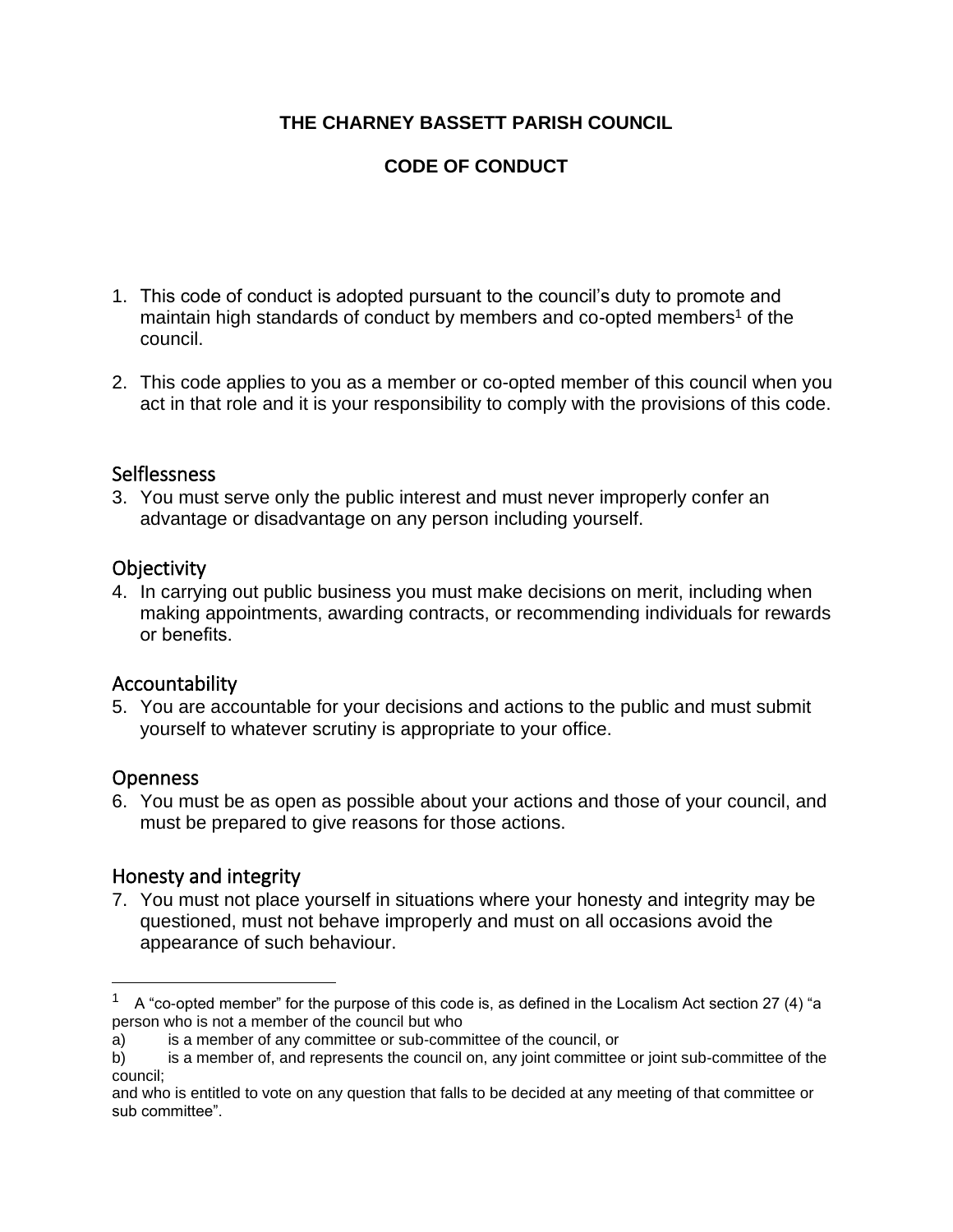### **THE CHARNEY BASSETT PARISH COUNCIL**

## **CODE OF CONDUCT**

- 1. This code of conduct is adopted pursuant to the council's duty to promote and maintain high standards of conduct by members and co-opted members<sup>1</sup> of the council.
- 2. This code applies to you as a member or co-opted member of this council when you act in that role and it is your responsibility to comply with the provisions of this code.

#### Selflessness

3. You must serve only the public interest and must never improperly confer an advantage or disadvantage on any person including yourself.

#### **Objectivity**

4. In carrying out public business you must make decisions on merit, including when making appointments, awarding contracts, or recommending individuals for rewards or benefits.

### Accountability

5. You are accountable for your decisions and actions to the public and must submit yourself to whatever scrutiny is appropriate to your office.

### Openness

6. You must be as open as possible about your actions and those of your council, and must be prepared to give reasons for those actions.

### Honesty and integrity

7. You must not place yourself in situations where your honesty and integrity may be questioned, must not behave improperly and must on all occasions avoid the appearance of such behaviour.

<sup>1</sup> A "co-opted member" for the purpose of this code is, as defined in the Localism Act section 27 (4) "a person who is not a member of the council but who

a) is a member of any committee or sub-committee of the council, or

b) is a member of, and represents the council on, any joint committee or joint sub-committee of the council;

and who is entitled to vote on any question that falls to be decided at any meeting of that committee or sub committee".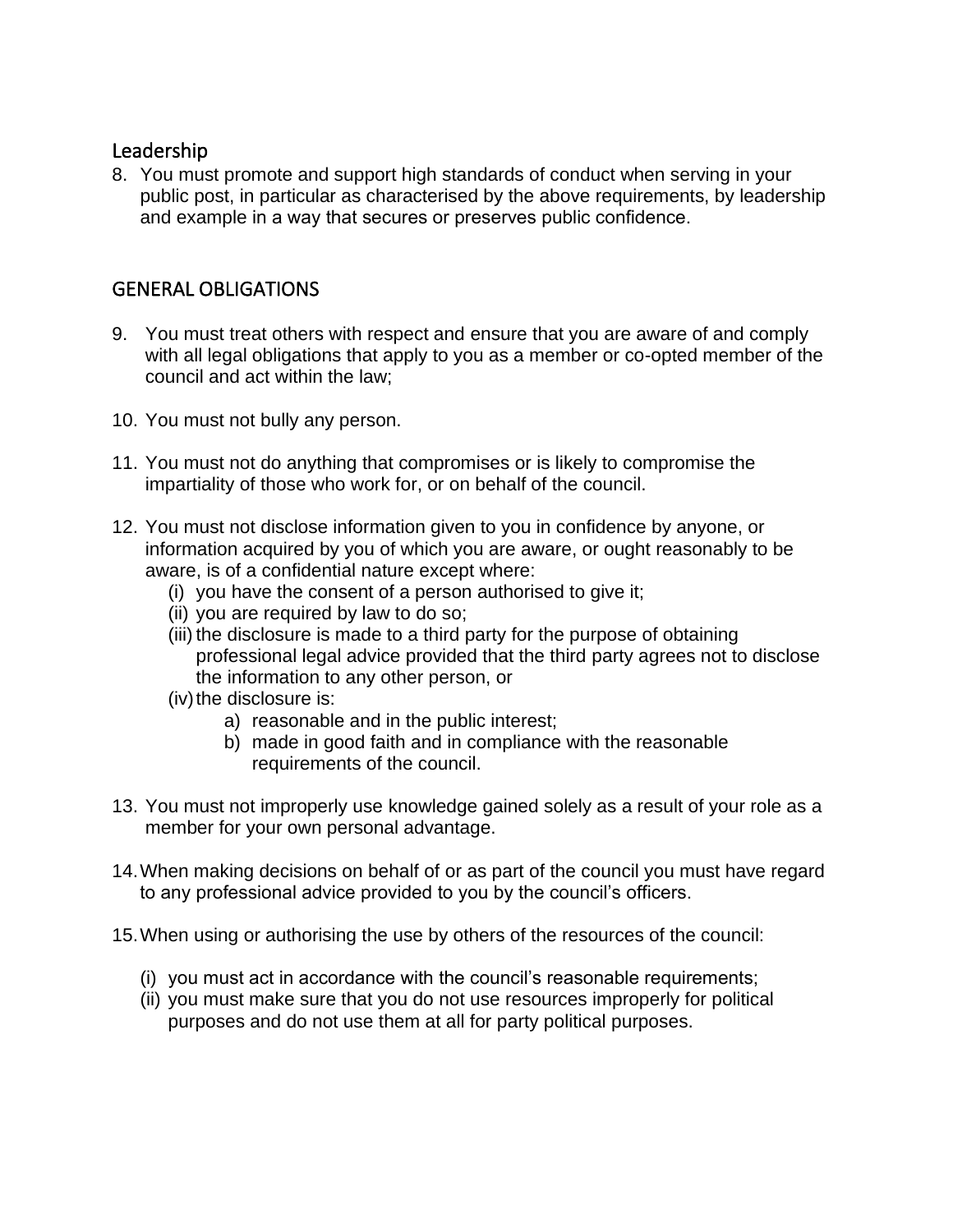#### Leadership

8. You must promote and support high standards of conduct when serving in your public post, in particular as characterised by the above requirements, by leadership and example in a way that secures or preserves public confidence.

# GENERAL OBLIGATIONS

- 9. You must treat others with respect and ensure that you are aware of and comply with all legal obligations that apply to you as a member or co-opted member of the council and act within the law;
- 10. You must not bully any person.
- 11. You must not do anything that compromises or is likely to compromise the impartiality of those who work for, or on behalf of the council.
- 12. You must not disclose information given to you in confidence by anyone, or information acquired by you of which you are aware, or ought reasonably to be aware, is of a confidential nature except where:
	- (i) you have the consent of a person authorised to give it;
	- (ii) you are required by law to do so;
	- (iii) the disclosure is made to a third party for the purpose of obtaining professional legal advice provided that the third party agrees not to disclose the information to any other person, or
	- (iv) the disclosure is:
		- a) reasonable and in the public interest;
		- b) made in good faith and in compliance with the reasonable requirements of the council.
- 13. You must not improperly use knowledge gained solely as a result of your role as a member for your own personal advantage.
- 14.When making decisions on behalf of or as part of the council you must have regard to any professional advice provided to you by the council's officers.
- 15.When using or authorising the use by others of the resources of the council:
	- (i) you must act in accordance with the council's reasonable requirements;
	- (ii) you must make sure that you do not use resources improperly for political purposes and do not use them at all for party political purposes.